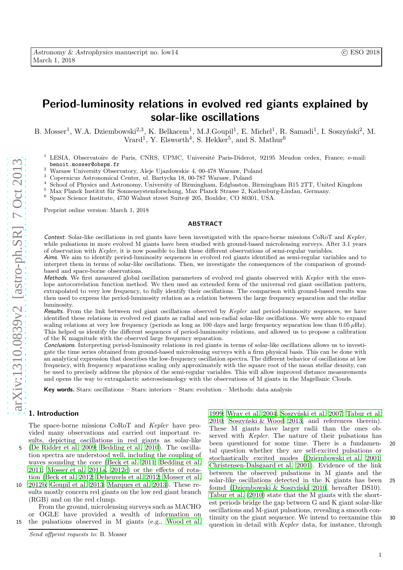# Period-luminosity relations in evolved red giants explained by solar-like oscillations

B. Mosser<sup>1</sup>, W.A. Dziembowski<sup>2,3</sup>, K. Belkacem<sup>1</sup>, M.J.Goupil<sup>1</sup>, E. Michel<sup>1</sup>, R. Samadi<sup>1</sup>, I. Soszyński<sup>2</sup>, M. Vrard<sup>1</sup>, Y. Elsworth<sup>4</sup>, S. Hekker<sup>5</sup>, and S. Mathur<sup>6</sup>

- <sup>1</sup> LESIA, Observatoire de Paris, CNRS, UPMC, Université Paris-Diderot, 92195 Meudon cedex, France; e-mail: benoit.mosser@obspm.fr
- <sup>2</sup> Warsaw University Observatory, Aleje Ujazdowskie 4, 00-478 Warsaw, Poland  $3$  Copernicus Astronomical Center, ul. Bartycka 18, 00-787 Warsaw, Poland
- 
- <sup>4</sup> School of Physics and Astronomy, University of Birmingham, Edgbaston, Birmingham B15 2TT, United Kingdom
- $5$  Max Planck Institut für Sonnensystemforschung, Max Planck Strasse 2, Katlenburg-Lindau, Germany.
- $6$  Space Science Institute, 4750 Walnut street Suite# 205, Boulder, CO 80301, USA.

Preprint online version: March 1, 2018

### ABSTRACT

Context. Solar-like oscillations in red giants have been investigated with the space-borne missions CoRoT and Kepler, while pulsations in more evolved M giants have been studied with ground-based microlensing surveys. After 3.1 years of observation with Kepler, it is now possible to link these different observations of semi-regular variables.

Aims. We aim to identify period-luminosity sequences in evolved red giants identified as semi-regular variables and to interpret them in terms of solar-like oscillations. Then, we investigate the consequences of the comparison of groundbased and space-borne observations.

Methods. We first measured global oscillation parameters of evolved red giants observed with Kepler with the envelope autocorrelation function method. We then used an extended form of the universal red giant oscillation pattern, extrapolated to very low frequency, to fully identify their oscillations. The comparison with ground-based results wa s then used to express the period-luminosity relation as a relation between the large frequency separation and the stella r luminosity.

Results. From the link between red giant oscillations observed by Kepler and period-luminosity sequences, we have identified these relations in evolved red giants as radial and non-radial solar-like oscillations. We were able to expan d scaling relations at very low frequency (periods as long as 100 days and large frequency separation less than 0.05  $\mu$ Hz). This helped us identify the different sequences of period-luminosity relations, and allowed us to propose a calibration of the K magnitude with the observed large frequency separation.

Conclusions. Interpreting period-luminosity relations in red giants in terms of solar-like oscillations allows us to investigate the time series obtained from ground-based microlensing surveys with a firm physical basis. This can be done with an analytical expression that describes the low-frequency oscillation spectra. The different behavior of oscillations at low frequency, with frequency separations scaling only approximately with the square root of the mean stellar density, can be used to precisely address the physics of the semi-regular variables. This will allow improved distance measurements and opens the way to extragalactic asteroseismology with the observations of M giants in the Magellanic Clouds.

Key words. Stars: oscillations – Stars: interiors – Stars: evolution – Methods: data analysis

# 1. Introduction

The space-borne missions CoRoT and Kepler have provided many observations and carried out important results, depicting oscillations in red giants as solar-like

5 [\(De Ridder et al. 2009;](#page-12-0) [Bedding et al. 2010\)](#page-12-1). The oscillation spectra are understood well, including the coupling of waves sounding the core [\(Beck et al. 2011;](#page-12-2) [Bedding et al.](#page-12-3) [2011](#page-12-3); [Mosser et al. 2011a,](#page-13-0) [2012c\)](#page-13-1) or the effects of rotation [\(Beck et al. 2012;](#page-12-4) [Deheuvels et al. 2012;](#page-12-5) [Mosser et al.](#page-13-2)

10 [2012b;](#page-13-2) [Goupil et al. 2013;](#page-12-6) [Marques et al. 2013\)](#page-13-3). These results mostly concern red giants on the low red giant branch (RGB) and on the red clump.

From the ground, microlensing surveys such as MACHO or OGLE have provided a wealth of information on 15 the pulsations observed in M giants (e.g., [Wood et al.](#page-13-4)

Send offprint requests to: B. Mosser

1999: [Wray et al. 2004;](#page-13-5) Soszyński et al. 2007; [Tabur et al.](#page-13-7) [2010;](#page-13-7) Soszyński  $& Wood$  2013, and references therein). These M giants have larger radii than the ones observed with Kepler. The nature of their pulsations has been questioned for some time. There is a fundamen- 20 tal question whether they are self-excited pulsations or stochastically excited modes [\(Dziembowski et al. 2001;](#page-12-7) [Christensen-Dalsgaard et al. 2001\)](#page-12-8). Evidence of the link between the observed pulsations in M giants and the solar-like oscillations detected in the K giants has been 25 found (Dziembowski & Soszyński 2010, hereafter DS10). [Tabur et al. \(2010\)](#page-13-7) state that the M giants with the shortest periods bridge the gap between G and K giant solar-like oscillations and M-giant pulsations, revealing a smooth continuity on the giant sequence. We intend to reexamine this 30 question in detail with Kepler data, for instance, through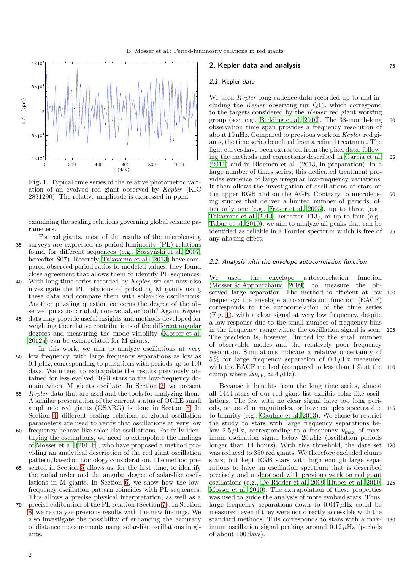

<span id="page-1-1"></span>Fig. 1. Typical time series of the relative photometric variation of an evolved red giant observed by Kepler (KIC 2831290). The relative amplitude is expressed in ppm.

examining the scaling relations governing global seismic parameters.

- For red giants, most of the results of the microlensing 35 surveys are expressed as period-luminosity (PL) relations found for different sequences (e.g., Soszynski et al. 2007, hereafter S07). Recently, Takayama et al.  $(2013)$  have compared observed period ratios to modeled values; they found close agreement that allows them to identify PL sequences.
- 40 With long time series recorded by Kepler, we can now also investigate the PL relations of pulsating M giants using these data and compare them with solar-like oscillations. Another puzzling question concerns the degree of the observed pulsation: radial, non-radial, or both? Again, Kepler
- 45 data may provide useful insights and methods developed for weighting the relative contributions of the different angular degrees and measuring the mode visibility [\(Mosser et al.](#page-13-10) [2012a\)](#page-13-10) can be extrapolated for M giants.

In this work, we aim to analyze oscillations at very 50 low frequency, with large frequency separations as low as  $0.1 \mu$ Hz, corresponding to pulsations with periods up to 100 days. We intend to extrapolate the results previously obtained for less-evolved RGB stars to the low-frequency domain where M giants oscillate. In Section [2,](#page-1-0) we present

- 55 Kepler data that are used and the tools for analyzing them. A similar presentation of the current status of OGLE small amplitude red giants (OSARG) is done in Section [3.](#page-2-0) In Section [4,](#page-3-0) different scaling relations of global oscillation parameters are used to verify that oscillations at very low
- 60 frequency behave like solar-like oscillations. For fully identifying the oscillations, we need to extrapolate the findings of [Mosser et al. \(2011b\)](#page-13-11), who have proposed a method providing an analytical description of the red giant oscillation pattern, based on homology consideration. The method pre-
- 65 sented in Section [5](#page-5-0) allows us, for the first time, to identify the radial order and the angular degree of solar-like oscillations in M giants. In Section [6,](#page-7-0) we show how the lowfrequency oscillation pattern coincides with PL sequences. This allows a precise physical interpretation, as well as a
- 70 precise calibration of the PL relation (Section [7\)](#page-9-0). In Section [8,](#page-10-0) we reanalyze previous results with the new findings. We also investigate the possibility of enhancing the accuracy of distance measurements using solar-like oscillations in giants.

# <span id="page-1-0"></span>**2. Kepler data and analysis 1988 1988 1988 1988 1988**

# 2.1. Kepler data

We used *Kepler* long-cadence data recorded up to and including the Kepler observing run Q13, which correspond to the targets considered by the Kepler red giant working group (see, e.g., [Bedding et al. 2010\)](#page-12-1). The 38-month-long 80 observation time span provides a frequency resolution of about 10 nHz. Compared to previous work on Kepler red giants, the time series benefited from a refined treatment. The light curves have been extracted from the pixel data, following the methods and corrections described in García et al. 85 [\(2011\)](#page-12-10) and in Bloemen et al. (2013, in preparation). In a large number of times series, this dedicated treatment provides evidence of large irregular low-frequency variations. It then allows the investigation of oscillations of stars on the upper RGB and on the AGB. Contrary to microlens- 90 ing studies that deliver a limited number of periods, often only one (e.g., [Fraser et al. 2005](#page-12-11)), up to three (e.g., [Takayama et al. 2013,](#page-13-9) hereafter T13), or up to four (e.g., [Tabur et al. 2010\)](#page-13-7), we aim to analyze all peaks that can be identified as reliable in a Fourier spectrum which is free of 95 any aliasing effect.

# 2.2. Analysis with the envelope autocorrelation function

We used the envelope autocorrelation function [\(Mosser & Appourchaux 2009\)](#page-13-12) to measure the observed large separation. The method is efficient at low 100 frequency: the envelope autocorrelation function (EACF) corresponds to the autocorrelation of the time series (Fig. [1\)](#page-1-1), with a clear signal at very low frequency, despite a low response due to the small number of frequency bins in the frequency range where the oscillation signal is seen. 105 The precision is, however, limited by the small number of observable modes and the relatively poor frequency resolution. Simulations indicate a relative uncertainty of  $5\%$  for large frequency separation of  $0.1 \mu$ Hz measured with the EACF method (compared to less than 1 % at the 110 clump where  $\Delta \nu_{\rm obs} \simeq 4 \,\mu \rm Hz$ ).

Because it benefits from the long time series, almost all 1444 stars of our red giant list exhibit solar-like oscillations. The few with no clear signal have too long periods, or too dim magnitudes, or have complex spectra due 115 to binarity (e.g., [Gaulme et al. 2013\)](#page-12-12). We chose to restrict the study to stars with large frequency separations below 2.5  $\mu$ Hz, corresponding to a frequency  $\nu_{\text{max}}$  of maximum oscillation signal below  $20 \mu$ Hz (oscillation periods longer than 14 hours). With this threshold, the date set 120 was reduced to 350 red giants. We therefore excluded clump stars, but kept RGB stars with high enough large separations to have an oscillation spectrum that is described precisely and understood with previous work on red giant oscillations (e.g., [De Ridder et al. 2009;](#page-12-0) [Huber et al. 2010;](#page-13-13) 125 [Mosser et al. 2010\)](#page-13-14). The extrapolation of these properties was used to guide the analysis of more evolved stars. Thus, large frequency separations down to  $0.047 \mu$ Hz could be measured, even if they were not directly accessible with the standard methods. This corresponds to stars with a max- 130 imum oscillation signal peaking around  $0.12 \mu$ Hz (periods of about 100 days).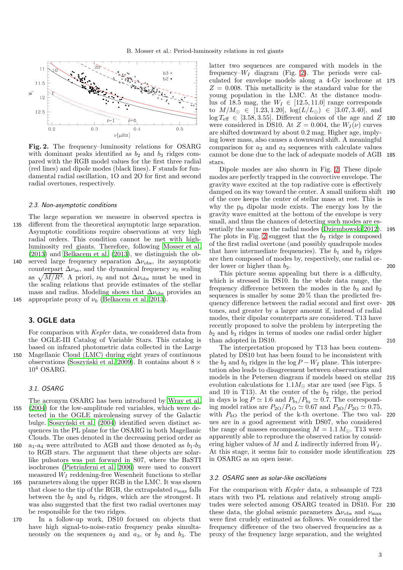

<span id="page-2-1"></span>Fig. 2. The frequency–luminosity relations for OSARG with dominant peaks identified as  $b_2$  and  $b_3$  ridges compared with the RGB model values for the first three radial (red lines) and dipole modes (black lines). F stands for fundamental radial oscillation, 1O and 2O for first and second radial overtones, respectively.

### 2.3. Non-asymptotic conditions

The large separation we measure in observed spectra is 135 different from the theoretical asymptotic large separation. Asymptotic conditions require observations at very high radial orders. This condition cannot be met with highluminosity red giants. Therefore, following [Mosser et al.](#page-13-15) [\(2013\)](#page-13-15) and [Belkacem et al. \(2013](#page-12-13)), we distinguish the ob-140 served large frequency separation  $\Delta \nu_{\rm obs}$ , its asymptotic counterpart  $\Delta \nu_{\rm as}$ , and the dynamical frequency  $\nu_0$  scaling as  $\sqrt{M/R^3}$ . A priori,  $\nu_0$  and not  $\Delta \nu_{\rm obs}$  must be used in the scaling relations that provide estimates of the stellar mass and radius. Modeling shows that  $\Delta \nu_{\rm obs}$  provides an 145 appropriate proxy of  $\nu_0$  [\(Belkacem et al. 2013\)](#page-12-13).

<span id="page-2-0"></span>3. OGLE data

For comparison with Kepler data, we considered data from the OGLE-III Catalog of Variable Stars. This catalog is based on infrared photometric data collected in the Large 150 Magellanic Cloud (LMC) during eight years of continuous observations (Soszyński et al. 2009). It contains about  $8 \times$  $10<sup>4</sup>$  OSARG.

# 3.1. OSARG

- The acronym OSARG has been introduced by [Wray et al.](#page-13-5) 155 [\(2004\)](#page-13-5) for the low-amplitude red variables, which were detected in the OGLE microlensing survey of the Galactic bulge. Soszyński et al. (2004) identified seven distinct sequences in the PL plane for the OSARG in both Magellanic Clouds. The ones denoted in the decreasing period order as 160 a<sub>1</sub>-a<sub>4</sub> were attributed to AGB and those denoted as  $b_1-b_3$
- to RGB stars. The argument that these objects are solarlike pulsators was put forward in S07, where the BaSTI isochrones [\(Pietrinferni et al. 2006\)](#page-13-18) were used to convert measured  $W_I$  reddening-free Wesenheit functions to stellar
- 165 parameters along the upper RGB in the LMC. It was shown that close to the tip of the RGB, the extrapolated  $\nu_{\text{max}}$  falls between the  $b_2$  and  $b_3$  ridges, which are the strongest. It was also suggested that the first two radial overtones may be responsible for the two ridges.
- 170 In a follow-up work, DS10 focused on objects that have high signal-to-noise-ratio frequency peaks simultaneously on the sequences  $a_2$  and  $a_3$ , or  $b_2$  and  $b_3$ . The

latter two sequences are compared with models in the frequency– $W_I$  diagram (Fig. [2\)](#page-2-1). The periods were calculated for envelope models along a 4-Gy isochrone at 175  $Z = 0.008$ . This metallicity is the standard value for the young population in the LMC. At the distance modulus of 18.5 mag, the  $W_I \in [12.5, 11.0]$  range corresponds to  $M/M_{\odot} \in [1.23, 1.20], \ \log(L/L_{\odot}) \in [3.07, 3.40], \text{ and}$  $\log T_{\text{eff}} \in [3.58, 3.55]$ . Different choices of the age and Z 180 were considered in DS10. At  $Z = 0.004$ , the  $W_I(\nu)$  curves are shifted downward by about 0.2 mag. Higher age, implying lower mass, also causes a downward shift. A meaningful comparison for  $a_2$  and  $a_3$  sequences with calculate values cannot be done due to the lack of adequate models of AGB 185 stars.

Dipole modes are also shown in Fig. [2.](#page-2-1) These dipole modes are perfectly trapped in the convective envelope. The gravity wave excited at the top radiative core is effectively damped on its way toward the center. A small uniform shift 190 of the core keeps the center of stellar mass at rest. This is why the  $p_0$  dipolar mode exists. The energy loss by the gravity wave emitted at the bottom of the envelope is very small, and thus the chances of detecting such modes are essentially the same as the radial modes [\(Dziembowski 2012](#page-12-14)). 195 The plots in Fig. [2](#page-2-1) suggest that the  $b_2$  ridge is composed of the first radial overtone (and possibly quadrupole modes that have intermediate frequencies). The  $b_1$  and  $b_3$  ridges are then composed of modes by, respectively, one radial order lower or higher than  $b_2$ . 200

This picture seems appealing but there is a difficulty, which is stressed in DS10. In the whole data range, the frequency difference between the modes in the  $b_3$  and  $b_2$ sequences is smaller by some  $20\%$  than the predicted frequency difference between the radial second and first over- 205 tones, and greater by a larger amount if, instead of radial modes, their dipolar counterparts are considered. T13 have recently proposed to solve the problem by interpreting the  $b_2$  and  $b_3$  ridges in terms of modes one radial order higher than adopted in DS10. 210

The interpretation proposed by T13 has been contemplated by DS10 but has been found to be inconsistent with the  $b_2$  and  $b_3$  ridges in the log  $P - W_I$  plane. This interpretation also leads to disagreement between observations and models in the Petersen diagram if models based on stellar 215 evolution calculations for  $1.1M_{\odot}$  star are used (see Figs. 5 and 10 in T13). At the center of the  $b_2$  ridge, the period in days is  $\log P \simeq 1.6$  and  $P_{b_3}/P_{b_2} \simeq 0.7$ . The corresponding model ratios are  $P_{2O}/P_{1O} \simeq 0.67$  and  $P_{3O}/P_{2O} \simeq 0.75$ , with  $P_{kO}$  the period of the k-th overtone. The two val- 220 ues are in a good agreement with DS07, who considered the range of masses encompassing  $M = 1.1 M_{\odot}$ . T13 were apparently able to reproduce the observed ratios by considering higher values of M and L indirectly inferred from  $W_I$ . At this stage, it seems fair to consider mode identification 225 in OSARG as an open issue.

# <span id="page-2-2"></span>3.2. OSARG seen as solar-like oscillations

For the comparison with Kepler data, a subsample of 723 stars with two PL relations and relatively strong amplitudes were selected among OSARG treated in DS10. For 230 these data, the global seismic parameters  $\Delta \nu_{\rm obs}$  and  $\nu_{\rm max}$ were first crudely estimated as follows. We considered the frequency difference of the two observed frequencies as a proxy of the frequency large separation, and the weighted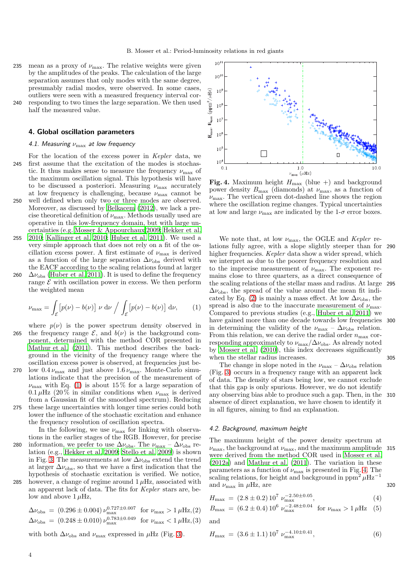235 mean as a proxy of  $\nu_{\text{max}}$ . The relative weights were given by the amplitudes of the peaks. The calculation of the large separation assumes that only modes with the same degree, presumably radial modes, were observed. In some cases, outliers were seen with a measured frequency interval cor-

240 responding to two times the large separation. We then used half the measured value.

# <span id="page-3-0"></span>4. Global oscillation parameters

# 4.1. Measuring  $\nu_{\text{max}}$  at low frequency

- For the location of the excess power in Kepler data, we 245 first assume that the excitation of the modes is stochastic. It thus makes sense to measure the frequency  $\nu_{\text{max}}$  of the maximum oscillation signal. This hypothesis will have to be discussed a posteriori. Measuring  $\nu_{\text{max}}$  accurately at low frequency is challenging, because  $\nu_{\text{max}}$  cannot be 250 well defined when only two or three modes are observed.
- Moreover, as discussed by [Belkacem \(2012\)](#page-12-15), we lack a precise theoretical definition of  $\nu_{\text{max}}$ . Methods usually used are operative in this low-frequency domain, but with large uncertainties (e.g. [Mosser & Appourchaux 2009;](#page-13-12) [Hekker et al.](#page-13-19) 255 [2010](#page-13-19); [Kallinger et al. 2010;](#page-13-20) [Huber et al. 2011\)](#page-13-21). We used a
- very simple approach that does not rely on a fit of the oscillation excess power. A first estimate of  $\nu_{\text{max}}$  is derived as a function of the large separation  $\Delta\nu_{\rm obs}$  derived with the EACF according to the scaling relations found at larger 260  $\Delta\nu_{\rm obs}$  [\(Huber et al. 2011\)](#page-13-21). It is used to define the frequency
- range  $\mathcal E$  with oscillation power in excess. We then perform the weighted mean

<span id="page-3-1"></span>
$$
\nu_{\max} = \int_{\mathcal{E}} \left[ p(\nu) - b(\nu) \right] \nu \, d\nu \bigg/ \int_{\mathcal{E}} \left[ p(\nu) - b(\nu) \right] \, d\nu, \tag{1}
$$

- where  $p(\nu)$  is the power spectrum density observed in 265 the frequency range  $\mathcal{E}$ , and  $b(\nu)$  is the background component, determined with the method COR presented in [Mathur et al. \(2011\)](#page-13-22). This method describes the background in the vicinity of the frequency range where the oscillation excess power is observed, at frequencies just be-270 low  $0.4 \nu_{\text{max}}$  and just above  $1.6 \nu_{\text{max}}$ . Monte-Carlo simulations indicate that the precision of the measurement of
- $\nu_{\text{max}}$  with Eq. [\(1\)](#page-3-1) is about 15% for a large separation of 0.1  $\mu$ Hz (20% in similar conditions when  $\nu_{\text{max}}$  is derived from a Gaussian fit of the smoothed spectrum). Reducing 275 these large uncertainties with longer time series could both lower the influence of the stochastic excitation and enhance the frequency resolution of oscillation spectra.

In the following, we use  $\nu_{\text{max}}$  for linking with observations in the earlier stages of the RGB. However, for precise 280 information, we prefer to use  $\Delta \nu_{\rm obs}$ . The  $\nu_{\rm max} - \Delta \nu_{\rm obs}$  relation (e.g., [Hekker et al. 2009](#page-13-23); [Stello et al. 2009](#page-13-24)) is shown in Fig. [3.](#page-4-0) The measurements at low  $\Delta\nu_{\rm obs}$  extend the trend at larger  $\Delta \nu_{\rm obs}$ , so that we have a first indication that the hypothesis of stochastic excitation is verified. We notice,

285 however, a change of regime around  $1 \mu$ Hz, associated with an apparent lack of data. The fits for Kepler stars are, below and above  $1 \mu$ Hz,

<span id="page-3-2"></span> $\Delta \nu_{\rm obs} = (0.296 \pm 0.004) \nu_{\rm max}^{0.727 \pm 0.007}$  for  $\nu_{\rm max} > 1 \,\mu$ Hz, (2)  $\Delta \nu_{\rm obs} = (0.248 \pm 0.010) \nu_{\rm max}^{0.783 \pm 0.049}$  for  $\nu_{\rm max} < 1 \,\mu$ Hz, (3)

with both  $\Delta \nu_{\rm obs}$  and  $\nu_{\rm max}$  expressed in  $\mu$ Hz (Fig. [3\)](#page-4-0).



<span id="page-3-3"></span>Fig. 4. Maximum height  $H_{\text{max}}$  (blue +) and background power density  $B_{\text{max}}$  (diamonds) at  $\nu_{\text{max}}$ , as a function of  $\nu_{\text{max}}$ . The vertical green dot-dashed line shows the region where the oscillation regime changes. Typical uncertainties at low and large  $\nu_{\text{max}}$  are indicated by the 1- $\sigma$  error boxes.

We note that, at low  $\nu_{\text{max}}$ , the OGLE and *Kepler* relations fully agree, with a slope slightly steeper than for 290 higher frequencies. Kepler data show a wider spread, which we interpret as due to the poorer frequency resolution and to the imprecise measurement of  $\nu_{\text{max}}$ . The exponent remains close to three quarters, as a direct consequence of the scaling relations of the stellar mass and radius. At large 295  $\Delta\nu_{\rm obs}$ , the spread of the value around the mean fit indi-cated by Eq. [\(2\)](#page-3-2) is mainly a mass effect. At low  $\Delta\nu_{\rm obs}$ , the spread is also due to the inaccurate measurement of  $\nu_{\text{max}}$ . Compared to previous studies (e.g., [Huber et al. 2011\)](#page-13-21) we have gained more than one decade towards low frequencies in determining the validity of the  $\nu_{\text{max}} - \Delta \nu_{\text{obs}}$  relation. From this relation, we can derive the radial order  $n_{\text{max}}$  corresponding approximately to  $\nu_{\text{max}}/\Delta\nu_{\text{obs}}$ . As already noted by [Mosser et al. \(2010\)](#page-13-14), this index decreases significantly when the stellar radius increases. 305

The change in slope noted in the  $\nu_{\text{max}} - \Delta \nu_{\text{obs}}$  relation (Fig. [3\)](#page-4-0) occurs in a frequency range with an apparent lack of data. The density of stars being low, we cannot exclude that this gap is only spurious. However, we do not identify any observing bias able to produce such a gap. Then, in the 310 absence of direct explanation, we have chosen to identify it in all figures, aiming to find an explanation.

### 4.2. Background, maximum height

The maximum height of the power density spectrum at  $\nu_{\text{max}}$ , the background at  $\nu_{\text{max}}$ , and the maximum amplitude 315 were derived from the method COR used in [Mosser et al.](#page-13-10) [\(2012a\)](#page-13-10) and [Mathur et al. \(2011\)](#page-13-22). The variation in these parameters as a function of  $\nu_{\text{max}}$  is presented in Fig. [4.](#page-3-3) The scaling relations, for height and background in ppm<sup>2</sup>  $\mu$ Hz<sup>-1</sup> and  $\nu_{\text{max}}$  in  $\mu$ Hz, are 320

$$
H_{\text{max}} = (2.8 \pm 0.2) 10^7 \, \nu_{\text{max}}^{-2.50 \pm 0.05},\tag{4}
$$

$$
B_{\text{max}} = (6.2 \pm 0.4) 10^6 \, \nu_{\text{max}}^{-2.48 \pm 0.04} \quad \text{for } \nu_{\text{max}} > 1 \, \mu \text{Hz} \quad (5)
$$

and

$$
H_{\text{max}} = (3.6 \pm 1.1) 10^7 \, \nu_{\text{max}}^{-4.10 \pm 0.41}, \tag{6}
$$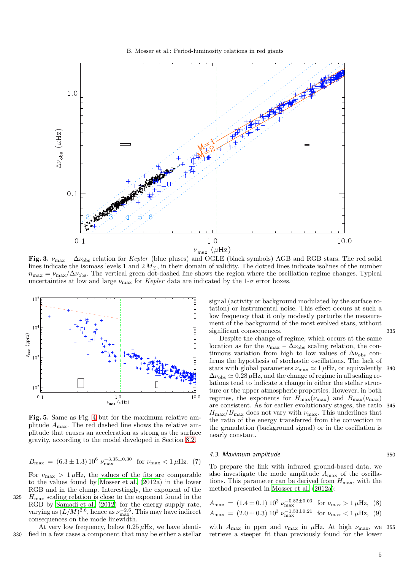B. Mosser et al.: Period-luminosity relations in red giants



<span id="page-4-0"></span>lines indicate the isomass levels 1 and  $2 M_{\odot}$ , in their domain of validity. The dotted lines indicate isolines of the number  $n_{\text{max}} = \nu_{\text{max}}/\Delta \nu_{\text{obs}}$ . The vertical green dot-dashed line shows the region where the oscillation regime changes. Typical uncertainties at low and large  $\nu_{\text{max}}$  for *Kepler* data are indicated by the 1- $\sigma$  error boxes.



<span id="page-4-1"></span>Fig. 5. Same as Fig. [4](#page-3-3) but for the maximum relative amplitude  $A_{\text{max}}$ . The red dashed line shows the relative amplitude that causes an acceleration as strong as the surface gravity, according to the model developed in Section [8.2.](#page-11-0)

$$
B_{\text{max}} = (6.3 \pm 1.3) 10^6 \, \nu_{\text{max}}^{-3.35 \pm 0.30} \quad \text{for } \nu_{\text{max}} < 1 \, \mu \text{Hz.} \tag{7}
$$

For  $\nu_{\text{max}} > 1 \mu \text{Hz}$ , the values of the fits are comparable to the values found by [Mosser et al. \(2012a\)](#page-13-10) in the lower RGB and in the clump. Interestingly, the exponent of the 325  $H_{\text{max}}$  scaling relation is close to the exponent found in the RGB by [Samadi et al. \(2012\)](#page-13-25) for the energy supply rate, varying as  $(L/M)^{2.6}$ , hence as  $\nu_{\text{max}}^{-2.6}$ . This may have indirect consequences on the mode linewidth.

At very low frequency, below  $0.25 \mu$ Hz, we have identi-330 fied in a few cases a component that may be either a stellar signal (activity or background modulated by the surface rotation) or instrumental noise. This effect occurs at such a low frequency that it only modestly perturbs the measurement of the background of the most evolved stars, without significant consequences. 335

Despite the change of regime, which occurs at the same location as for the  $\nu_{\text{max}} - \Delta \nu_{\text{obs}}$  scaling relation, the continuous variation from high to low values of  $\Delta\nu_{\rm obs}$  confirms the hypothesis of stochastic oscillations. The lack of stars with global parameters  $\nu_{\text{max}} \simeq 1 \,\mu\text{Hz}$ , or equivalently 340  $\Delta\nu_{\rm obs} \simeq 0.28 \,\mu$ Hz, and the change of regime in all scaling relations tend to indicate a change in either the stellar structure or the upper atmospheric properties. However, in both regimes, the exponents for  $H_{\text{max}}(\nu_{\text{max}})$  and  $B_{\text{max}}(\nu_{\text{max}})$ are consistent. As for earlier evolutionary stages, the ratio 345  $H_{\text{max}}/B_{\text{max}}$  does not vary with  $\nu_{\text{max}}$ . This underlines that the ratio of the energy transferred from the convection in the granulation (background signal) or in the oscillation is nearly constant.

# <span id="page-4-3"></span>4.3. Maximum amplitude 350

To prepare the link with infrared ground-based data, we also investigate the mode amplitude  $A_{\text{max}}$  of the oscillations. This parameter can be derived from  $H_{\text{max}}$ , with the method presented in [Mosser et al. \(2012a](#page-13-10)):

<span id="page-4-2"></span>
$$
A_{\text{max}} = (1.4 \pm 0.1) 10^3 \, \nu_{\text{max}}^{-0.82 \pm 0.03} \quad \text{for } \nu_{\text{max}} > 1 \, \mu \text{Hz}, \tag{8}
$$
\n
$$
A_{\text{max}} = (2.0 \pm 0.3) 10^3 \, \nu_{\text{max}}^{-1.53 \pm 0.21} \quad \text{for } \nu_{\text{max}} < 1 \, \mu \text{Hz}, \tag{9}
$$

with  $A_{\text{max}}$  in ppm and  $\nu_{\text{max}}$  in  $\mu$ Hz. At high  $\nu_{\text{max}}$ , we 355 retrieve a steeper fit than previously found for the lower

5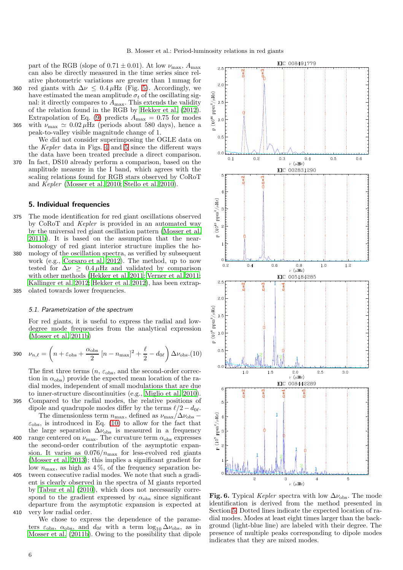part of the RGB (slope of  $0.71 \pm 0.01$ ). At low  $\nu_{\text{max}}$ ,  $A_{\text{max}}$ can also be directly measured in the time series since relative photometric variations are greater than 1 mmag for

360 red giants with  $\Delta \nu \leq 0.4 \mu$ Hz (Fig. [5\)](#page-4-1). Accordingly, we have estimated the mean amplitude  $\sigma_t$  of the oscillating signal: it directly compares to  $A_{\text{max}}$ . This extends the validity of the relation found in the RGB by [Hekker et al. \(2012\)](#page-13-26). Extrapolation of Eq. [\(9\)](#page-4-2) predicts  $A_{\text{max}} = 0.75$  for modes 365 with  $\nu_{\text{max}} \simeq 0.02 \,\mu\text{Hz}$  (periods about 580 days), hence a

peak-to-valley visible magnitude change of 1. We did not consider superimposing the OGLE data on the Kepler data in Figs. [4](#page-3-3) and [5](#page-4-1) since the different ways the data have been treated preclude a direct comparison.

370 In fact, DS10 already perform a comparison, based on the amplitude measure in the I band, which agrees with the scaling relations found for RGB stars observed by CoRoT and Kepler [\(Mosser et al. 2010;](#page-13-14) [Stello et al. 2010\)](#page-13-27).

# <span id="page-5-0"></span>5. Individual frequencies

375 The mode identification for red giant oscillations observed by CoRoT and Kepler is provided in an automated way by the universal red giant oscillation pattern [\(Mosser et al.](#page-13-11) [2011b\)](#page-13-11). It is based on the assumption that the nearhomology of red giant interior structure implies the ho-380 mology of the oscillation spectra, as verified by subsequent work (e.g., [Corsaro et al. 2012\)](#page-12-16). The method, up to now tested for  $\Delta \nu \geq 0.4 \mu$ Hz and validated by comparison with other methods [\(Hekker et al. 2011;](#page-13-28) [Verner et al. 2011](#page-13-29); [Kallinger et al. 2012;](#page-13-30) [Hekker et al. 2012](#page-13-26)), has been extrap-385 olated towards lower frequencies.

# 5.1. Parametrization of the spectrum

For red giants, it is useful to express the radial and lowdegree mode frequencies from the analytical expression [\(Mosser et al. 2011b\)](#page-13-11)

<span id="page-5-1"></span>
$$
390 \quad \nu_{n,\ell} = \left( n + \varepsilon_{\text{obs}} + \frac{\alpha_{\text{obs}}}{2} \left[ n - n_{\text{max}} \right]^2 + \frac{\ell}{2} - d_{0\ell} \right) \Delta \nu_{\text{obs}}.(10)
$$

The first three terms  $(n, \varepsilon_{obs},$  and the second-order correction in  $\alpha_{\rm obs}$ ) provide the expected mean location of the radial modes, independent of small modulations that are due to inner-structure discontinuities (e.g., [Miglio et al. 2010\)](#page-13-31). 395 Compared to the radial modes, the relative positions of dipole and quadrupole modes differ by the terms  $\ell/2 - d_{0\ell}$ .

The dimensionless term  $n_{\text{max}}$ , defined as  $\nu_{\text{max}}/\Delta\nu_{\text{obs}}$  –  $\varepsilon_{\text{obs}}$ , is introduced in Eq. [\(10\)](#page-5-1) to allow for the fact that the large separation  $\Delta \nu_{\rm obs}$  is measured in a frequency 400 range centered on  $\nu_{\text{max}}$ . The curvature term  $\alpha_{\text{obs}}$  expresses the second-order contribution of the asymptotic expansion. It varies as  $0.076/n_{\text{max}}$  for less-evolved red giants [\(Mosser et al. 2013\)](#page-13-15); this implies a significant gradient for low  $n_{\text{max}}$ , as high as 4%, of the frequency separation be-405 tween consecutive radial modes. We note that such a gradient is clearly observed in the spectra of M giants reported by [Tabur et al. \(2010\)](#page-13-7), which does not necessarily correspond to the gradient expressed by  $\alpha_{obs}$  since significant departure from the asymptotic expansion is expected at 410 very low radial order.

We chose to express the dependence of the parameters  $\varepsilon_{\text{obs}}$ ,  $\alpha_{\text{obs}}$ , and  $d_{0\ell}$  with a term  $\log_{10} \Delta \nu_{\text{obs}}$ , as in [Mosser et al. \(2011b\)](#page-13-11). Owing to the possibility that dipole



<span id="page-5-2"></span>Fig. 6. Typical Kepler spectra with low  $\Delta\nu_{\rm obs}$ . The mode identification is derived from the method presented in Section [5.](#page-5-0) Dotted lines indicate the expected location of radial modes. Modes at least eight times larger than the background (light-blue line) are labeled with their degree. The presence of multiple peaks corresponding to dipole modes indicates that they are mixed modes.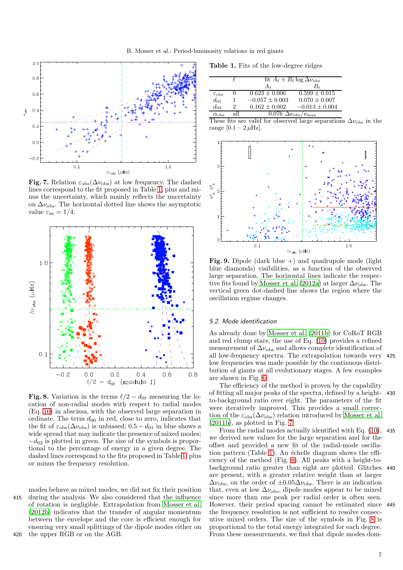

<span id="page-6-1"></span>Fig. 7. Relation  $\varepsilon_{obs}(\Delta \nu_{\rm obs})$  at low frequency. The dashed lines correspond to the fit proposed in Table [1,](#page-6-0) plus and minus the uncertainty, which mainly reflects the uncertainty on  $\Delta\nu_{\rm obs}$ . The horizontal dotted line shows the asymptotic value  $\varepsilon_{\rm as} = 1/4$ .



<span id="page-6-2"></span>Fig. 8. Variation in the terms  $\ell/2 - d_{0\ell}$  measuring the location of non-radial modes with respect to radial modes (Eq. [10\)](#page-5-1) in abscissa, with the observed large separation in ordinate. The term  $d_{00}$  in red, close to zero, indicates that the fit of  $\varepsilon_{\text{obs}}(\Delta \nu_{\text{obs}})$  is unbiased; 0.5 –  $d_{01}$  in blue shows a wide spread that may indicate the presence of mixed modes;  $-d_{02}$  is plotted in green. The size of the symbols is proportional to the percentage of energy in a given degree. The dashed lines correspond to the fits proposed in Table [1,](#page-6-0) plus or minus the frequency resolution.

modes behave as mixed modes, we did not fix their position 415 during the analysis. We also considered that the influence of rotation is negligible. Extrapolation from [Mosser et al.](#page-13-2) [\(2012b\)](#page-13-2) indicates that the transfer of angular momentum between the envelope and the core is efficient enough for ensuring very small splittings of the dipole modes either on 420 the upper RGB or on the AGB.

<span id="page-6-0"></span>Table 1. Fits of the low-degree ridges

|                         |   | fit $A_{\ell} + B_{\ell} \log \Delta \nu_{\rm obs}$     |                    |
|-------------------------|---|---------------------------------------------------------|--------------------|
|                         |   | Aι                                                      | Вı                 |
| $\varepsilon_{\rm obs}$ | 0 | $0.623 + 0.006$                                         | $0.599 + 0.015$    |
| $d_{01}$                |   | $-0.057 \pm 0.003$                                      | $0.070 \pm 0.007$  |
| $d_{02}$                | 2 | $0.162 + 0.002$                                         | $-0.013 \pm 0.004$ |
| $\alpha_{\rm obs}$      |   | $\overline{0.076}$ $\Delta \nu_{\rm obs}/\nu_{\rm max}$ |                    |

These fits are valid for observed large separations  $\Delta \nu_{\rm obs}$  in the range  $[0.1 - 2 \,\mu \text{Hz}]$ .



<span id="page-6-3"></span>Fig. 9. Dipole (dark blue +) and quadrupole mode (light blue diamonds) visibilities, as a function of the observed large separation. The horizontal lines indicate the respec-tive fits found by [Mosser et al. \(2012a\)](#page-13-10) at larger  $\Delta \nu_{\rm obs}$ . The vertical green dot-dashed line shows the region where the oscillation regime changes.

# 5.2. Mode identification

As already done by [Mosser et al. \(2011b\)](#page-13-11) for CoRoT RGB and red clump stars, the use of Eq. [\(10\)](#page-5-1) provides a refined measurement of  $\Delta \nu_{\rm obs}$  and allows complete identification of all low-frequency spectra. The extrapolation towards very 425 low frequencies was made possible by the continuous distribution of giants at all evolutionary stages. A few examples are shown in Fig. [6.](#page-5-2)

The efficiency of the method is proven by the capability of fitting all major peaks of the spectra, defined by a height- 430 to-background ratio over eight. The parameters of the fit were iteratively improved. This provides a small correction of the  $\varepsilon_{\text{obs}}(\Delta \nu_{\text{obs}})$  relation introduced by [Mosser et al.](#page-13-11)  $(2011b)$  $(2011b)$ , as plotted in Fig. [7.](#page-6-1)

From the radial modes actually identified with Eq. [\(10\)](#page-5-1), 435 we derived new values for the large separation and for the offset and provided a new fit of the radial-mode oscilla-tion pattern (Table [1\)](#page-6-0). An échelle diagram shows the efficiency of the method (Fig. [8\)](#page-6-2). All peaks with a height-tobackground ratio greater than eight are plotted. Glitches 440 are present, with a greater relative weight than at larger  $\Delta\nu_{\rm obs}$ , on the order of  $\pm 0.05 \Delta\nu_{\rm obs}$ . There is an indication that, even at low  $\Delta \nu_{\rm obs}$ , dipole modes appear to be mixed since more than one peak per radial order is often seen. However, their period spacing cannot be estimated since 445 the frequency resolution is not sufficient to resolve consecutive mixed orders. The size of the symbols in Fig. [8](#page-6-2) is proportional to the total energy integrated for each degree. From these measurements, we find that dipole modes dom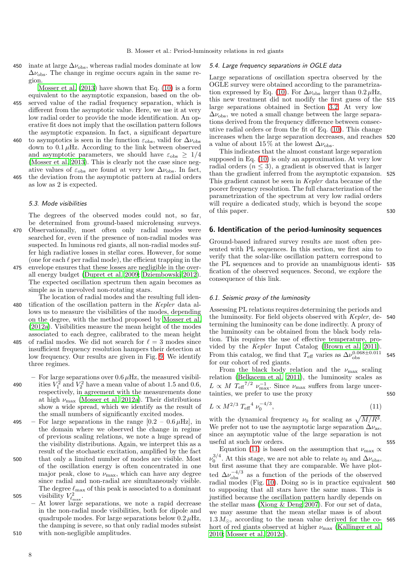450 inate at large  $\Delta \nu_{\rm obs}$ , whereas radial modes dominate at low  $\Delta\nu_{\rm obs}$ . The change in regime occurs again in the same region.

Mosser et al.  $(2013)$  have shown that Eq.  $(10)$  is a form equivalent to the asymptotic expansion, based on the ob-455 served value of the radial frequency separation, which is different from the asymptotic value. Here, we use it at very low radial order to provide the mode identification. An operative fit does not imply that the oscillation pattern follows the asymptotic expansion. In fact, a significant departure

460 to asymptotics is seen in the function  $\varepsilon_{\rm obs}$ , valid for  $\Delta\nu_{\rm obs}$ down to  $0.1 \mu$ Hz. According to the link between observed and asymptotic parameters, we should have  $\varepsilon_{\rm obs} \geq 1/4$ [\(Mosser et al. 2013\)](#page-13-15). This is clearly not the case since negative values of  $\varepsilon_{\rm obs}$  are found at very low  $\Delta\nu_{\rm obs}$ . In fact, 465 the deviation from the asymptotic pattern at radial orders as low as 2 is expected.

#### 5.3. Mode visibilities

The degrees of the observed modes could not, so far, be determined from ground-based microlensing surveys. 470 Observationally, most often only radial modes were searched for, even if the presence of non-radial modes was suspected. In luminous red giants, all non-radial modes suffer high radiative losses in stellar cores. However, for some (one for each  $\ell$  per radial mode), the efficient trapping in the

475 envelope ensures that these losses are negligible in the overall energy budget [\(Dupret et al. 2009](#page-12-17); [Dziembowski 2012\)](#page-12-14). The expected oscillation spectrum then again becomes as simple as in unevolved non-rotating stars.

- The location of radial modes and the resulting full iden-480 tification of the oscillation pattern in the Kepler data allows us to measure the visibilities of the modes, depending on the degree, with the method proposed by [Mosser et al.](#page-13-10) [\(2012a\)](#page-13-10). Visibilities measure the mean height of the modes associated to each degree, calibrated to the mean height 485 of radial modes. We did not search for  $\ell = 3$  modes since
- insufficient frequency resolution hampers their detection at low frequency. Our results are given in Fig. [9.](#page-6-3) We identify three regimes.
- For large separations over  $0.6 \mu$ Hz, the measured visibil-490 ities  $V_1^2$  and  $V_2^2$  have a mean value of about 1.5 and 0.6, respectively, in agreement with the measurements done at high  $\nu_{\text{max}}$  [\(Mosser et al. 2012a](#page-13-10)). Their distributions show a wide spread, which we identify as the result of the small numbers of significantly excited modes.
- 495 For large separations in the range  $[0.2 0.6 \,\mu\text{Hz}]$ , in the domain where we observed the change in regime of previous scaling relations, we note a huge spread of the visibility distributions. Again, we interpret this as a result of the stochastic excitation, amplified by the fact 500 that only a limited number of modes are visible. Most of the oscillation energy is often concentrated in one major peak, close to  $\nu_{\text{max}}$ , which can have any degree since radial and non-radial are simultaneously visible. The degree  $\ell_{\rm max}$  of this peak is associated to a dominant 505 visibility  $V_{\ell_{\text{max}}}^2$ .
- At lower large separations, we note a rapid decrease in the non-radial mode visibilities, both for dipole and quadrupole modes. For large separations below  $0.2 \mu$ Hz, the damping is severe, so that only radial modes subsist 510 with non-negligible amplitudes.

# 5.4. Large frequency separations in OGLE data

Large separations of oscillation spectra observed by the OGLE survey were obtained according to the parametriza-tion expressed by Eq. [\(10\)](#page-5-1). For  $\Delta \nu_{\rm obs}$  larger than 0.2  $\mu$ Hz, this new treatment did not modify the first guess of the 515 large separations obtained in Section [3.2.](#page-2-2) At very low  $\Delta\nu_{\rm obs}$ , we noted a small change between the large separations derived from the frequency difference between consecutive radial orders or from the fit of Eq. [\(10\)](#page-5-1). This change increases when the large separation decreases, and reaches 520 a value of about 15% at the lowest  $\Delta \nu_{\rm obs}$ .

This indicates that the almost constant large separation supposed in Eq. [\(10\)](#page-5-1) is only an approximation. At very low radial orders  $(n \leq 3)$ , a gradient is observed that is larger than the gradient inferred from the asymptotic expansion. 525 This gradient cannot be seen in Kepler data because of the poorer frequency resolution. The full characterization of the parametrization of the spectrum at very low radial orders will require a dedicated study, which is beyond the scope of this paper. 530

# <span id="page-7-0"></span>6. Identification of the period-luminosity sequences

Ground-based infrared survey results are most often presented with PL sequences. In this section, we first aim to verify that the solar-like oscillation pattern correspond to the PL sequences and to provide an unambiguous identi- 535 fication of the observed sequences. Second, we explore the consequence of this link.

#### 6.1. Seismic proxy of the luminosity

Assessing PL relations requires determining the periods and the luminosity. For field objects observed with Kepler, de- 540 termining the luminosity can be done indirectly. A proxy of the luminosity can be obtained from the black body relation. This requires the use of effective temperature, provided by the Kepler Input Catalog [\(Brown et al. 2011](#page-12-18)). From this catalog, we find that  $T_{\text{eff}}$  varies as  $\Delta \nu_{\text{obs}}^{0.068 \pm 0.011}$  545 for our cohort of red giants.

From the black body relation and the  $\nu_{\text{max}}$  scaling relation [\(Belkacem et al. 2011](#page-12-19)), the luminosity scales as  $L \propto M T_{\text{eff}}^{7/2} \nu_{\text{max}}^{-1}$ . Since  $\nu_{\text{max}}$  suffers from large uncertainties, we prefer to use the proxy 550

<span id="page-7-1"></span>
$$
L \propto M^{2/3} \; T_{\text{eff}}^4 \; \nu_0^{-4/3},\tag{11}
$$

with the dynamical frequency  $\nu_0$  for scaling as  $\sqrt{M/R^3}$ . We prefer not to use the asymptotic large separation  $\Delta \nu_{\rm as}$ , since an asymptotic value of the large separation is not useful at such low orders. 555

Equation [\(11\)](#page-7-1) is based on the assumption that  $\nu_{\text{max}} \propto$  $\nu_0^{3/4}$ . At this stage, we are not able to relate  $\nu_0$  and  $\Delta \nu_{\rm obs}$ , but first assume that they are comparable. We have plotted  $\Delta\nu_{\rm obs}^{-4/3}$  as a function of the periods of the observed radial modes (Fig. [10\)](#page-8-0). Doing so is in practice equivalent 560 to supposing that all stars have the same mass. This is justified because the oscillation pattern hardly depends on the stellar mass [\(Xiong & Deng 2007\)](#page-13-32). For our set of data, we may assume that the mean stellar mass is of about  $1.3 M_{\odot}$ , according to the mean value derived for the co- 565 hort of red giants observed at higher  $\nu_{\text{max}}$  [\(Kallinger et al.](#page-13-20) [2010;](#page-13-20) [Mosser et al. 2012c\)](#page-13-1).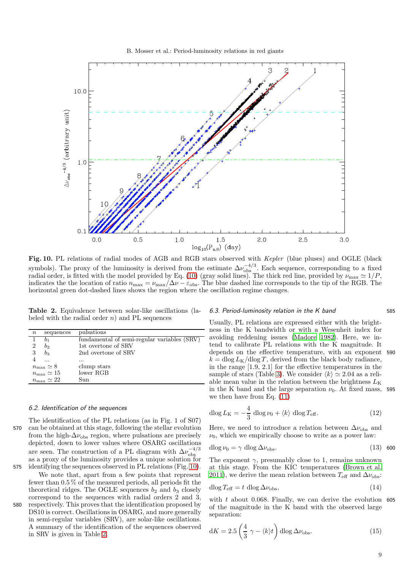

<span id="page-8-0"></span>Fig. 10. PL relations of radial modes of AGB and RGB stars observed with Kepler (blue pluses) and OGLE (black symbols). The proxy of the luminosity is derived from the estimate  $\Delta\nu_{\rm obs}^{-4/3}$ . Each sequence, corresponding to a fixed radial order, is fitted with the model provided by Eq. [\(10\)](#page-5-1) (gray solid lines). The thick red line, provided by  $\nu_{\text{max}} \simeq 1/P$ , indicates the the location of ratio  $n_{\text{max}} = \nu_{\text{max}}/\Delta \nu - \varepsilon_{\text{obs}}$ . The blue dashed line corresponds to the tip of the RGB. The horizontal green dot-dashed lines shows the region where the oscillation regime changes.

<span id="page-8-1"></span>Table 2. Equivalence between solar-like oscillations (labeled with the radial order  $n$ ) and PL sequences

| $\, n$         | sequences                  | pulsations                                  |
|----------------|----------------------------|---------------------------------------------|
|                | 01                         | fundamental of semi-regular variables (SRV) |
| $\overline{2}$ | b2                         | 1st overtone of SRV                         |
| 3              | $b_3$                      | 2nd overtone of SRV                         |
|                |                            |                                             |
|                | $n_{\rm max} \simeq 8$     | clump stars                                 |
|                | $n_{\text{max}} \simeq 15$ | lower RGB                                   |
|                | $n_{\text{max}} \simeq 22$ | Sun                                         |
|                |                            |                                             |

### 6.2. Identification of the sequences

The identification of the PL relations (as in Fig. 1 of S07) 570 can be obtained at this stage, following the stellar evolution from the high- $\Delta\nu_{\rm obs}$  region, where pulsations are precisely depicted, down to lower values where OSARG oscillations are seen. The construction of a PL diagram with  $\Delta\nu_{\rm obs}^{-4/3}$ as a proxy of the luminosity provides a unique solution for

575 identifying the sequences observed in PL relations (Fig. [10\)](#page-8-0). We note that, apart from a few points that represent fewer than 0.5 % of the measured periods, all periods fit the theoretical ridges. The OGLE sequences  $b_2$  and  $b_3$  closely correspond to the sequences with radial orders 2 and 3,

580 respectively. This proves that the identification proposed by DS10 is correct. Oscillations in OSARG, and more generally in semi-regular variables (SRV), are solar-like oscillations. A summary of the identification of the sequences observed in SRV is given in Table [2.](#page-8-1)

### 6.3. Period-luminosity relation in the K band 585

Usually, PL relations are expressed either with the brightness in the K bandwidth or with a Wesenheit index for avoiding reddening issues [\(Madore 1982](#page-13-33)). Here, we intend to calibrate PL relations with the K magnitude. It depends on the effective temperature, with an exponent 590  $k = \text{dlog} L_{\text{K}}/\text{dlog} T$ , derived from the black body radiance, in the range [1.9, 2.1] for the effective temperatures in the sample of stars (Table [3\)](#page-9-1). We consider  $\langle k \rangle \simeq 2.04$  as a reliable mean value in the relation between the brightness  $L_K$ in the K band and the large separation  $\nu_0$ . At fixed mass, 595 we then have from Eq. [\(11\)](#page-7-1)

$$
\operatorname{dlog} L_{\text{K}} = -\frac{4}{3} \operatorname{dlog} \nu_0 + \langle k \rangle \operatorname{dlog} T_{\text{eff}}.
$$
 (12)

Here, we need to introduce a relation between  $\Delta \nu_{\rm obs}$  and  $\nu_0$ , which we empirically choose to write as a power law:

<span id="page-8-3"></span>
$$
d\log \nu_0 = \gamma \, d\log \Delta \nu_{\rm obs}.\tag{13}
$$

The exponent  $\gamma$ , presumably close to 1, remains unknown at this stage. From the KIC temperatures [\(Brown et al.](#page-12-18) [2011\)](#page-12-18), we derive the mean relation between  $T_{\text{eff}}$  and  $\Delta \nu_{\text{obs}}$ :

$$
d\log T_{\text{eff}} = t \, \text{dlog}\, \Delta \nu_{\text{obs}},\tag{14}
$$

with  $t$  about 0.068. Finally, we can derive the evolution 605 of the magnitude in the K band with the observed large separation:

<span id="page-8-2"></span>
$$
dK = 2.5 \left(\frac{4}{3} \gamma - \langle k \rangle t\right) d\log \Delta \nu_{\rm obs}.
$$
 (15)

9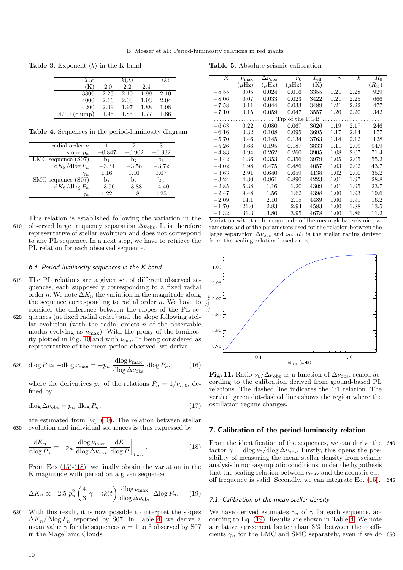**Table 3.** Exponent  $\langle k \rangle$  in the K band

<span id="page-9-1"></span>

| $T_{\rm eff}$  |      | $k(\lambda)$ |      | $\langle k \rangle$ |
|----------------|------|--------------|------|---------------------|
| (K)            | 2.0  | 2.2          | 2.4  |                     |
| 3800           | 2.23 | 2.10         | 1.99 | 2.10                |
| 4000           | 2.16 | 2.03         | 1.93 | 2.04                |
| 4200           | 2.09 | 1.97         | 1.88 | 1.98                |
| $4700$ (clump) | 1.95 | 1.85         | 1.77 | 1.86                |

Table 4. Sequences in the period-luminosity diagram

<span id="page-9-3"></span>

| $radian$ order $n$     |          | 2        | 3        |
|------------------------|----------|----------|----------|
| slope $p_n$            | $-0.847$ | $-0.902$ | $-0.932$ |
| $LMC$ sequence $(S07)$ | b1       | b۰       | $b_3$    |
| $dK_S/dlog P_n$        | $-3.34$  | $-3.58$  | $-3.72$  |
| $\gamma_n$             | 1.16     | 1.10     | 1.07     |
| SMC sequence (S07)     | b1       | b۰       | bз       |
| $dK_S/dlog P_n$        | $-3.56$  | $-3.88$  | $-4.40$  |
| $\gamma_n$             | 1.22     | 1.18     | 1.25     |

This relation is established following the variation in the 610 observed large frequency separation  $\Delta \nu_{\rm obs}$ . It is therefore representative of stellar evolution and does not correspond to any PL sequence. In a next step, we have to retrieve the PL relation for each observed sequence.

#### 6.4. Period-luminosity sequences in the K band

- 615 The PL relations are a given set of different observed sequences, each supposedly corresponding to a fixed radial order n. We note  $\Delta K_n$  the variation in the magnitude along the sequence corresponding to radial order  $n$ . We have to consider the difference between the slopes of the PL se-
- 620 quences (at fixed radial order) and the slope following stellar evolution (with the radial orders  $n$  of the observable modes evolving as  $n_{\text{max}}$ ). With the proxy of the luminos-ity plotted in Fig. [10](#page-8-0) and with  $\nu_{\text{max}}^{-1}$  being considered as representative of the mean period observed, we derive

$$
625 \quad \text{dlog}\,P \simeq -\text{dlog}\,\nu_{\text{max}} = -p_n \,\frac{\text{dlog}\,\nu_{\text{max}}}{\text{dlog}\,\Delta\nu_{\text{obs}}} \,\,\text{dlog}\,P_n,\tag{16}
$$

where the derivatives  $p_n$  of the relations  $P_n = 1/\nu_{n,0}$ , defined by

$$
d\log \Delta \nu_{\rm obs} = p_n \, d\log P_n,\tag{17}
$$

are estimated from Eq. [\(10\)](#page-5-1). The relation between stellar 630 evolution and individual sequences is thus expressed by

<span id="page-9-2"></span>
$$
\frac{\mathrm{d}K_n}{\mathrm{dlog}\,P_n} = -p_n \left. \frac{\mathrm{dlog}\,\nu_{\text{max}}}{\mathrm{dlog}\,\Delta\nu_{\text{obs}}} \frac{\mathrm{d}K}{\mathrm{dlog}\,P} \right|_{n_{\text{max}}}.\tag{18}
$$

From Eqs [\(15\)](#page-8-2)-[\(18\)](#page-9-2), we finally obtain the variation in the K magnitude with period on a given sequence:

<span id="page-9-4"></span>
$$
\Delta K_n \propto -2.5 \ p_n^2 \left(\frac{4}{3} \ \gamma - \langle k \rangle t\right) \frac{\mathrm{dlog} \ \nu_{\text{max}}}{\mathrm{dlog} \ \Delta \nu_{\text{obs}}} \ \Delta \log P_n. \tag{19}
$$

635 With this result, it is now possible to interpret the slopes  $\Delta K_n/\Delta \log P_n$  reported by S07. In Table [4,](#page-9-3) we derive a mean value  $\gamma$  for the sequences  $n = 1$  to 3 observed by S07 in the Magellanic Clouds.

<span id="page-9-6"></span>

| Κ       | $\nu_{\rm max}$ | $\Delta \nu_{\rm obs}$ | $\nu_0$        | $T_{\rm eff}$  | $\gamma$ | k    | $_{R_0}$      |
|---------|-----------------|------------------------|----------------|----------------|----------|------|---------------|
|         | $(\mu Hz)$      | $(\mu Hz)$             | $(\mu Hz)$     | $(\mathrm{K})$ |          |      | $(R_{\odot})$ |
| $-8.55$ | 0.05            | 0.024                  | 0.016          | 3355           | 1.21     | 2.28 | 929           |
| $-8.06$ | 0.07            | 0.033                  | 0.023          | 3422           | 1.21     | 2.25 | 666           |
| $-7.58$ | 0.11            | 0.044                  | 0.033          | 3489           | 1.21     | 2.22 | 477           |
| $-7.10$ | 0.15            | 0.059                  | 0.047          | 3557           | 1.20     | 2.20 | 342           |
|         |                 |                        | Tip of the RGB |                |          |      |               |
| $-6.63$ | 0.22            | 0.080                  | 0.067          | 3626           | 1.19     | 2.17 | 246           |
| $-6.16$ | 0.32            | 0.108                  | 0.095          | 3695           | 1.17     | 2.14 | 177           |
| $-5.70$ | 0.46            | 0.145                  | 0.134          | 3763           | 1.14     | 2.12 | 128           |
| $-5.26$ | 0.66            | 0.195                  | 0.187          | 3833           | 1.11     | 2.09 | 94.9          |
| $-4.83$ | 0.94            | 0.262                  | 0.260          | 3905           | 1.08     | 2.07 | 71.4          |
| $-4.42$ | 1.36            | 0.353                  | 0.356          | 3979           | 1.05     | 2.05 | 55.2          |
| $-4.02$ | 1.98            | 0.475                  | 0.486          | 4057           | 1.03     | 2.02 | 43.7          |
| $-3.63$ | 2.91            | 0.640                  | 0.659          | 4138           | 1.02     | 2.00 | 35.2          |
| $-3.24$ | 4.30            | 0.861                  | 0.890          | 4223           | 1.01     | 1.97 | 28.8          |
| $-2.85$ | 6.38            | 1.16                   | 1.20           | 4309           | 1.01     | 1.95 | 23.7          |
| $-2.47$ | 9.48            | 1.56                   | 1.62           | 4398           | 1.00     | 1.93 | 19.6          |
| $-2.09$ | 14.1            | $2.10\,$               | 2.18           | 4489           | 1.00     | 1.91 | 16.2          |
| $-1.70$ | 21.0            | $2.83\,$               | 2.94           | 4583           | 1.00     | 1.88 | 13.5          |
| $-1.32$ | $31.3\,$        | 3.80                   | 3.95           | 4678           | 1.00     | 1.86 | 11.2          |

Variation with the K magnitude of the mean global seismic parameters and of the parameters used for the relation between the large separation  $\Delta v_{\rm obs}$  and  $v_0$ .  $R_0$  is the stellar radius derived from the scaling relation based on  $\nu_0$ .



<span id="page-9-5"></span>Fig. 11. Ratio  $\nu_0/\Delta\nu_{\rm obs}$  as a function of  $\Delta\nu_{\rm obs}$ , scaled according to the calibration derived from ground-based PL relations. The dashed line indicates the 1:1 relation. The vertical green dot-dashed lines shows the region where the oscillation regime changes.

# <span id="page-9-0"></span>7. Calibration of the period-luminosity relation

From the identification of the sequences, we can derive the 640 factor  $\gamma = \text{dlog }\nu_0/\text{dlog }\Delta\nu_{\text{obs}}$ . Firstly, this opens the possibility of measuring the mean stellar density from seismic analysis in non-asymptotic conditions, under the hypothesis that the scaling relation between  $\nu_{\text{max}}$  and the acoustic cutoff frequency is valid. Secondly, we can integrate Eq. [\(15\)](#page-8-2). 645

### 7.1. Calibration of the mean stellar density

We have derived estimates  $\gamma_n$  of  $\gamma$  for each sequence, according to Eq. [\(19\)](#page-9-4). Results are shown in Table [4.](#page-9-3) We note a relative agreement better than  $3\%$  between the coefficients  $\gamma_n$  for the LMC and SMC separately, even if we do 650

Table 5. Absolute seismic calibration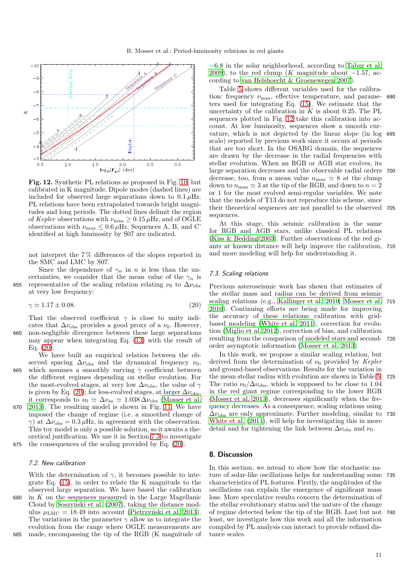

<span id="page-10-3"></span>Fig. 12. Synthetic PL relations as proposed in Fig. [10,](#page-8-0) but calibrated in K magnitude. Dipole modes (dashed lines) are included for observed large separations down to  $0.1 \mu$ Hz. PL relations have been extrapolated towards bright magnitudes and long periods. The dotted lines delimit the region of Kepler observations with  $\nu_{\rm max} \geq 0.15 \,\mu{\rm Hz},$  and of OGLE observations with  $\nu_{\text{max}} \leq 0.6 \,\mu\text{Hz}$ . Sequences A, B, and C' identified at high luminosity by S07 are indicated.

not interpret the 7 % differences of the slopes reported in the SMC and LMC by S07.

Since the dependence of  $\gamma_n$  in n is less than the uncertainties, we consider that the mean value of the  $\gamma_n$  is 655 representative of the scaling relation relating  $\nu_0$  to  $\Delta\nu_{\text{obs}}$ at very low frequency:

<span id="page-10-1"></span>
$$
\gamma \simeq 1.17 \pm 0.08. \tag{20}
$$

That the observed coefficient  $\gamma$  is close to unity indicates that  $\Delta \nu_{\rm obs}$  provides a good proxy of a  $\nu_0$ . However, 660 non-negligible divergence between these large separations may appear when integrating Eq. [\(13\)](#page-8-3) with the result of Eq.  $(20)$ .

We have built an empirical relation between the observed spacing  $\Delta \nu_{\rm obs}$  and the dynamical frequency  $\nu_0$ , 665 which assumes a smoothly varying  $\gamma$  coefficient between the different regimes depending on stellar evolution. For the most-evolved stages, at very low  $\Delta\nu_{\rm obs}$ , the value of  $\gamma$ is given by Eq. [\(20\)](#page-10-1); for less-evolved stages, at larger  $\Delta\nu_{\rm obs}$ , it corresponds to  $\nu_0 \simeq \Delta \nu_{\rm as} \simeq 1.038 \Delta \nu_{\rm obs}$  [\(Mosser et al.](#page-13-15) 670 [2013](#page-13-15)). The resulting model is shown in Fig. [11.](#page-9-5) We have imposed the change of regime (i.e. a smoothed change of  $\gamma$ ) at  $\Delta\nu_{\rm obs} = 0.3 \,\mu$ Hz, in agreement with the observation. This toy model is only a possible solution, so it awaits a theoretical justification. We use it in Section [7.3](#page-10-2) to investigate

# 675 the consequences of the scaling provided by Eq. [\(20\)](#page-10-1).

### 7.2. New calibration

With the determination of  $\gamma$ , it becomes possible to integrate Eq. [\(15\)](#page-8-2), in order to relate the K magnitude to the observed large separation. We have based the calibration 680 in  $K$  on the sequences measured in the Large Magellanic Cloud by Soszynski et al. (2007), taking the distance modulus  $\mu_{LMC} = 18.49$  into account (Pietrzyński et al. 2013). The variations in the parameter  $\gamma$  allow us to integrate the evolution from the range where OGLE measurements are 685 made, encompassing the tip of the RGB (K magnitude of

−6.8 in the solar neighborhood, according to [Tabur et al.](#page-13-35) [2009\)](#page-13-35), to the red clump (K magnitude about  $-1.57$ , according to [van Helshoecht & Groenewegen 2007\)](#page-13-36).

Table [5](#page-9-6) shows different variables used for the calibration: frequency  $\nu_{\text{max}}$ , effective temperature, and parameters used for integrating Eq. [\(15\)](#page-8-2). We estimate that the uncertainty of the calibration in  $K$  is about 0.25. The PL sequences plotted in Fig. [12](#page-10-3) take this calibration into account. At low luminosity, sequences show a smooth curvature, which is not depicted by the linear slope (in log 695 scale) reported by previous work since it occurs at periods that are too short. In the OSARG domain, the sequences are drawn by the decrease in the radial frequencies with stellar evolution. When an RGB or AGB star evolves, its large separation decreases and the observable radial orders 700 decrease, too, from a mean value  $n_{\text{max}} \simeq 8$  at the clump down to  $n_{\text{max}} \simeq 3$  at the tip of the RGB, and down to  $n = 2$ or 1 for the most evolved semi-regular variables. We note that the models of T13 do not reproduce this scheme, since their theoretical sequences are not parallel to the observed 705 sequences.

At this stage, this seismic calibration is the same for RGB and AGB stars, unlike classical PL relations [\(Kiss & Bedding 2003\)](#page-13-37). Further observations of the red giants at known distance will help improve the calibration, 710 and more modeling will help for understanding it.

### <span id="page-10-2"></span>7.3. Scaling relations

Previous asteroseismic work has shown that estimates of the stellar mass and radius can be derived from seismic scaling relations (e.g., [Kallinger et al. 2010;](#page-13-20) [Mosser et al.](#page-13-14) 715 [2010\)](#page-13-14). Continuing efforts are being made for improving the accuracy of these relations: calibration with gridbased modeling [\(White et al. 2011\)](#page-13-38), correction for evolution [\(Miglio et al. 2012\)](#page-13-39), correction of bias, and calibration resulting from the comparison of modeled stars and second- 720 order asymptotic information [\(Mosser et al. 2013](#page-13-15)).

In this work, we propose a similar scaling relation, but derived from the determination of  $\nu_0$  provided by *Kepler* and ground-based observations. Results for the variation in the mean stellar radius with evolution are shown in Table [5.](#page-9-6) 725 The ratio  $\nu_0/\Delta\nu_{\rm obs}$ , which is supposed to be close to 1.04 in the red giant regime corresponding to the lower RGB [\(Mosser et al. 2013\)](#page-13-15), decreases significantly when the frequency decreases. As a consequence, scaling relations using  $\Delta\nu_{\rm obs}$  are only approximate. Further modeling, similar to 730 [White et al. \(2011](#page-13-38)), will help for investigating this in more detail and for tightening the link between  $\Delta \nu_{\rm obs}$  and  $\nu_{0}$ .

# <span id="page-10-0"></span>8. Discussion

In this section, we intend to show how the stochastic nature of solar-like oscillations helps for understanding some 735 characteristics of PL features. Firstly, the amplitudes of the oscillations can explain the emergence of significant mass loss. More speculative results concern the determination of the stellar evolutionary status and the nature of the change of regime detected below the tip of the RGB. Last but not 740 least, we investigate how this work and all the information compiled by PL analysis can interact to provide refined distance scales.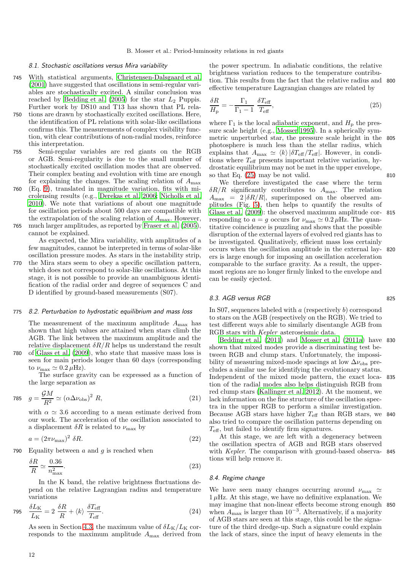### 8.1. Stochastic oscillations versus Mira variability

- 745 With statistical arguments, [Christensen-Dalsgaard et al.](#page-12-8) [\(2001\)](#page-12-8) have suggested that oscillations in semi-regular variables are stochastically excited. A similar conclusion was reached by Bedding et al.  $(2005)$  for the star  $L_2$  Puppis. Further work by DS10 and T13 has shown that PL rela-
- 750 tions are drawn by stochastically excited oscillations. Here, the identification of PL relations with solar-like oscillations confirms this. The measurements of complex visibility function, with clear contributions of non-radial modes, reinforce this interpretation.
- 755 Semi-regular variables are red giants on the RGB or AGB. Semi-regularity is due to the small number of stochastically excited oscillation modes that are observed. Their complex beating and evolution with time are enough for explaining the changes. The scaling relation of  $A_{\text{max}}$
- 760 (Eq. [9\)](#page-4-2), translated in magnitude variation, fits with microlensing results (e.g., [Derekas et al. 2006;](#page-12-21) [Nicholls et al.](#page-13-40) [2010](#page-13-40)). We note that variations of about one magnitude for oscillation periods about 500 days are compatible with the extrapolation of the scaling relation of  $A_{\text{max}}$ . However, 765 much larger amplitudes, as reported by [Fraser et al. \(2005\)](#page-12-11), cannot be explained.

As expected, the Mira variability, with amplitudes of a few magnitudes, cannot be interpreted in terms of solar-like oscillation pressure modes. As stars in the instability strip,

770 the Mira stars seem to obey a specific oscillation pattern, which does not correspond to solar-like oscillations. At this stage, it is not possible to provide an unambiguous identification of the radial order and degree of sequences C and D identified by ground-based measurements (S07).

# <span id="page-11-0"></span>775 8.2. Perturbation to hydrostatic equilibrium and mass loss

The measurement of the maximum amplitude  $A_{\rm max}$  has shown that high values are attained when stars climb the AGB. The link between the maximum amplitude and the relative displacement  $\delta R/R$  helps us understand the result

780 of [Glass et al. \(2009](#page-12-22)), who state that massive mass loss is seen for main periods longer than 60 days (corresponding to  $\nu_{\text{max}} \simeq 0.2 \,\mu\text{Hz}$ ).

The surface gravity can be expressed as a function of the large separation as

$$
785 \quad g = \frac{\mathcal{G}M}{R^2} \simeq (\alpha \Delta \nu_{\rm obs})^2 \ R, \tag{21}
$$

with  $\alpha \simeq 3.6$  according to a mean estimate derived from our work. The acceleration of the oscillation associated to a displacement  $\delta R$  is related to  $\nu_{\text{max}}$  by

$$
a = (2\pi\nu_{\text{max}})^2 \delta R. \tag{22}
$$

790 Equality between  $a$  and  $g$  is reached when

$$
\frac{\delta R}{R} \simeq \frac{0.36}{n_{\text{max}}^2}.\tag{23}
$$

In the K band, the relative brightness fluctuations depend on the relative Lagrangian radius and temperature variations

$$
795 \quad \frac{\delta L_{\rm K}}{L_{\rm K}} = 2 \frac{\delta R}{R} + \langle k \rangle \frac{\delta T_{\rm eff}}{T_{\rm eff}}.
$$
\n
$$
\tag{24}
$$

As seen in Section [4.3,](#page-4-3) the maximum value of  $\delta L_{\rm K}/L_{\rm K}$  corresponds to the maximum amplitude  $A_{\text{max}}$  derived from the power spectrum. In adiabatic conditions, the relative brightness variation reduces to the temperature contribution. This results from the fact that the relative radius and 800 effective temperature Lagrangian changes are related by

<span id="page-11-1"></span>
$$
\frac{\delta R}{H_{\rm p}} = -\frac{\Gamma_1}{\Gamma_1 - 1} \frac{\delta T_{\rm eff}}{T_{\rm eff}},\tag{25}
$$

where  $\Gamma_1$  is the local adiabatic exponent, and  $H_p$  the pressure scale height (e.g., [Mosser 1995\)](#page-13-41). In a spherically symmetric unperturbed star, the pressure scale height in the 805 photosphere is much less than the stellar radius, which explains that  $A_{\text{max}} \simeq \langle k \rangle |\delta T_{\text{eff}}/T_{\text{eff}}|$ . However, in conditions where  $T_{\text{eff}}$  presents important relative variation, hydrostatic equilibrium may not be met in the upper envelope, so that Eq.  $(25)$  may be not valid. 810

We therefore investigated the case where the term  $\delta R/R$  significantly contributes to  $A_{\text{max}}$ . The relation  $A_{\text{max}} = 2 |\delta R/R|$ , superimposed on the observed amplitudes (Fig. [5\)](#page-4-1), then helps to quantify the results of Glass et al.  $(2009)$ : the observed maximum amplitude corresponding to  $a = g$  occurs for  $\nu_{\text{max}} \simeq 0.2 \,\mu \text{Hz}$ . The quantitative coincidence is puzzling and shows that the possible disruption of the external layers of evolved red giants has to be investigated. Qualitatively, efficient mass loss certainly occurs when the oscillation amplitude in the external lay- 820 ers is large enough for imposing an oscillation acceleration comparable to the surface gravity. As a result, the uppermost regions are no longer firmly linked to the envelope and can be easily ejected.

### 8.3. AGB versus RGB 825

In S07, sequences labeled with  $a$  (respectively  $b$ ) correspond to stars on the AGB (respectively on the RGB). We tried to test different ways able to similarly disentangle AGB from RGB stars with Kepler asteroseismic data.

[Bedding et al. \(2011](#page-12-3)) and [Mosser et al. \(2011a\)](#page-13-0) have 830 shown that mixed modes provide a discriminating test between RGB and clump stars. Unfortunately, the impossibility of measuring mixed-mode spacings at low  $\Delta\nu_{\rm obs}$  precludes a similar use for identifying the evolutionary status. Independent of the mixed mode pattern, the exact loca- 835 tion of the radial modes also helps distinguish RGB from red clump stars [\(Kallinger et al. 2012\)](#page-13-30). At the moment, we lack information on the fine structure of the oscillation spectra in the upper RGB to perform a similar investigation. Because AGB stars have higher  $T_{\text{eff}}$  than RGB stars, we 840 also tried to compare the oscillation patterns depending on  $T_{\text{eff}}$ , but failed to identify firm signatures.

At this stage, we are left with a degeneracy between the oscillation spectra of AGB and RGB stars observed with *Kepler*. The comparison with ground-based observa- 845 tions will help remove it.

# 8.4. Regime change

We have seen many changes occurring around  $\nu_{\text{max}} \simeq$  $1 \mu$ Hz. At this stage, we have no definitive explanation. We may imagine that non-linear effects become strong enough 850 when  $A_{\text{max}}$  is larger than 10<sup>-3</sup>. Alternatively, if a majority of AGB stars are seen at this stage, this could be the signature of the third dredge-up. Such a signature could explain the lack of stars, since the input of heavy elements in the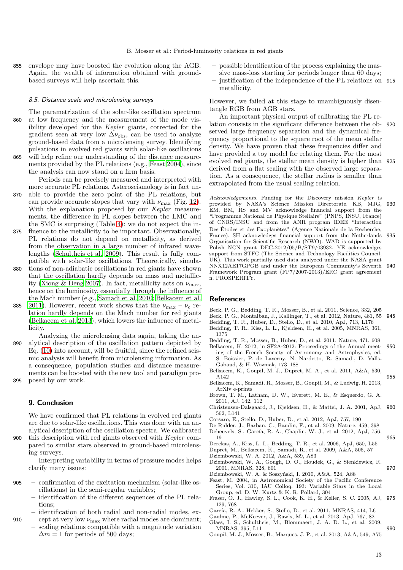855 envelope may have boosted the evolution along the AGB. Again, the wealth of information obtained with groundbased surveys will help ascertain this.

#### 8.5. Distance scale and microlensing surveys

- The parametrization of the solar-like oscillation spectrum 860 at low frequency and the measurement of the mode visibility developed for the Kepler giants, corrected for the gradient seen at very low  $\Delta\nu_{\rm obs}$ , can be used to analyze ground-based data from a microlensing survey. Identifying pulsations in evolved red giants with solar-like oscillations 865 will help refine our understanding of the distance measure-
- 

ments provided by the PL relations (e.g., [Feast 2004\)](#page-12-23), since the analysis can now stand on a firm basis.

Periods can be precisely measured and interpreted with more accurate PL relations. Asteroseismology is in fact un-

- 870 able to provide the zero point of the PL relations, but can provide accurate slopes that vary with  $\nu_{\text{max}}$  (Fig. [12\)](#page-10-3). With the explanation proposed by our Kepler measurements, the difference in PL slopes between the LMC and the SMC is surprising (Table [4\)](#page-9-3): we do not expect the in-
- 875 fluence to the metallicity to be important. Observationally, PL relations do not depend on metallicity, as derived from the observation in a large number of infrared wavelengths [\(Schultheis et al. 2009\)](#page-13-42). This result is fully compatible with solar-like oscillations. Theoretically, simula-
- 880 tions of non-adiabatic oscillations in red giants have shown that the oscillation hardly depends on mass and metallic-ity [\(Xiong & Deng 2007\)](#page-13-32). In fact, metallicity acts on  $\nu_{\text{max}}$ , hence on the luminosity, essentially through the influence of the Mach number (e.g., [Samadi et al. 2010;](#page-13-43) [Belkacem et al.](#page-12-19)
- 885 [2011](#page-12-19)). However, recent work shows that the  $\nu_{\text{max}} \nu_{\text{c}}$  relation hardly depends on the Mach number for red giants [\(Belkacem et al. 2013](#page-12-13)), which lowers the influence of metallicity.

Analyzing the microlensing data again, taking the an-890 alytical description of the oscillation pattern depicted by Eq. [\(10\)](#page-5-1) into account, will be fruitful, since the refined seismic analysis will benefit from microlensing information. As a consequence, population studies and distance measurements can be boosted with the new tool and paradigm pro-895 posed by our work.

# 9. Conclusion

We have confirmed that PL relations in evolved red giants are due to solar-like oscillations. This was done with an analytical description of the oscillation spectra. We calibrated

900 this description with red giants observed with Kepler compared to similar stars observed in ground-based microlensing surveys.

Interpreting variability in terms of pressure modes helps clarify many issues:

- 905 confirmation of the excitation mechanism (solar-like oscillations) in the semi-regular variables;
	- identification of the different sequences of the PL relations;
- identification of both radial and non-radial modes, ex-910 cept at very low  $\nu_{\text{max}}$  where radial modes are dominant;
	- scaling relations compatible with a magnitude variation  $\Delta m = 1$  for periods of 500 days;
- possible identification of the process explaining the massive mass-loss starting for periods longer than 60 days;
- justification of the independence of the PL relations on 915 metallicity.

However, we failed at this stage to unambiguously disentangle RGB from AGB stars.

An important physical output of calibrating the PL relation consists in the significant difference between the ob- 920 served large frequency separation and the dynamical frequency proportional to the square root of the mean stellar density. We have proven that these frequencies differ and have provided a toy model for relating them. For the most evolved red giants, the stellar mean density is higher than 925 derived from a flat scaling with the observed large separation. As a consequence, the stellar radius is smaller than extrapolated from the usual scaling relation.

Acknowledgements. Funding for the Discovery mission *Kepler* is provided by NASA's Science Mission Directorate. KB, MJG, 930 EM, BM, RS and MV acknowledge financial support from the "Programme National de Physique Stellaire" (PNPS, INSU, France) of CNRS/INSU and from the ANR program IDEE "Interaction Des Étoiles et des Exoplanètes" (Agence Nationale de la Recherche, France). SH acknowledges financial support from the Netherlands 935 Organisation for Scientific Research (NWO). WAD is supported by Polish NCN grant DEC-2012/05/B/ST9/03932. YE acknowledges support from STFC (The Science and Technology Facilities Council, UK). This work partially used data analyzed under the NASA grant NNX12AE17GPGB and under the European Community's Seventh 940 Framework Program grant (FP7/2007-2013)/ERC grant agreement n. PROSPERITY.

# References

- <span id="page-12-2"></span>Beck, P. G., Bedding, T. R., Mosser, B., et al. 2011, Science, 332, 205
- <span id="page-12-4"></span>Beck, P. G., Montalban, J., Kallinger, T., et al. 2012, Nature, 481, 55 945
- <span id="page-12-1"></span>Bedding, T. R., Huber, D., Stello, D., et al. 2010, ApJ, 713, L176 Bedding, T. R., Kiss, L. L., Kjeldsen, H., et al. 2005, MNRAS, 361,
- <span id="page-12-20"></span>1375
- <span id="page-12-3"></span>Bedding, T. R., Mosser, B., Huber, D., et al. 2011, Nature, 471, 608
- <span id="page-12-15"></span>Belkacem, K. 2012, in SF2A-2012: Proceedings of the Annual meet- 950 ing of the French Society of Astronomy and Astrophysics, ed. S. Boissier, P. de Laverny, N. Nardetto, R. Samadi, D. Valls-Gabaud, & H. Wozniak, 173–188
- <span id="page-12-19"></span>Belkacem, K., Goupil, M. J., Dupret, M. A., et al. 2011, A&A, 530,  $A142$  955
- <span id="page-12-13"></span>Belkacem, K., Samadi, R., Mosser, B., Goupil, M., & Ludwig, H. 2013, ArXiv e-prints
- <span id="page-12-18"></span>Brown, T. M., Latham, D. W., Everett, M. E., & Esquerdo, G. A. 2011, AJ, 142, 112
- <span id="page-12-8"></span>Christensen-Dalsgaard, J., Kjeldsen, H., & Mattei, J. A. 2001, ApJ, 960 562, L141
- <span id="page-12-16"></span>Corsaro, E., Stello, D., Huber, D., et al. 2012, ApJ, 757, 190
- <span id="page-12-0"></span>De Ridder, J., Barban, C., Baudin, F., et al. 2009, Nature, 459, 398
- <span id="page-12-5"></span>Deheuvels, S., García, R. A., Chaplin, W. J., et al. 2012, ApJ, 756, 965<br>19
- <span id="page-12-21"></span>Derekas, A., Kiss, L. L., Bedding, T. R., et al. 2006, ApJ, 650, L55
- <span id="page-12-17"></span>Dupret, M., Belkacem, K., Samadi, R., et al. 2009, A&A, 506, 57
- <span id="page-12-14"></span>Dziembowski, W. A. 2012, A&A, 539, A83
- <span id="page-12-7"></span>Dziembowski, W. A., Gough, D. O., Houdek, G., & Sienkiewicz, R. 2001, MNRAS, 328, 601 970
- <span id="page-12-9"></span>Dziembowski, W. A. & Soszyński, I. 2010, A&A, 524, A88
- <span id="page-12-23"></span>Feast, M. 2004, in Astronomical Society of the Pacific Conference Series, Vol. 310, IAU Colloq. 193: Variable Stars in the Local Group, ed. D. W. Kurtz & K. R. Pollard, 304
- <span id="page-12-11"></span>Fraser, O. J., Hawley, S. L., Cook, K. H., & Keller, S. C. 2005, AJ, 975 129, 768
- <span id="page-12-10"></span>García, R. A., Hekker, S., Stello, D., et al. 2011, MNRAS, 414, L6
- <span id="page-12-12"></span>Gaulme, P., McKeever, J., Rawls, M. L., et al. 2013, ApJ, 767, 82
- <span id="page-12-22"></span>Glass, I. S., Schultheis, M., Blommaert, J. A. D. L., et al. 2009, MNRAS, 395, L11 980
- <span id="page-12-6"></span>Goupil, M. J., Mosser, B., Marques, J. P., et al. 2013, A&A, 549, A75